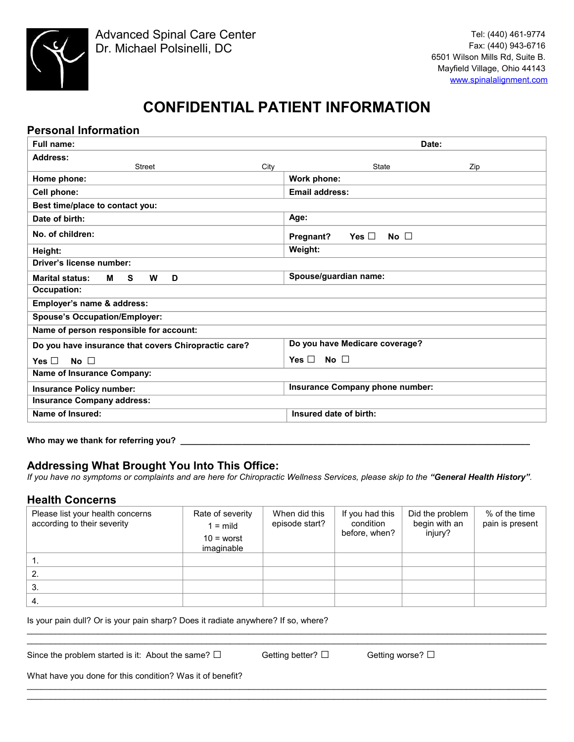

# **CONFIDENTIAL PATIENT INFORMATION**

# **Personal Information**

| <b>Full name:</b>                                    | Date:                                      |  |  |
|------------------------------------------------------|--------------------------------------------|--|--|
| <b>Address:</b>                                      |                                            |  |  |
| City<br><b>Street</b>                                | <b>State</b><br>Zip                        |  |  |
| Home phone:                                          | Work phone:                                |  |  |
| Cell phone:                                          | <b>Email address:</b>                      |  |  |
| Best time/place to contact you:                      |                                            |  |  |
| Date of birth:                                       | Age:                                       |  |  |
| No. of children:                                     | Yes $\square$<br>No $\square$<br>Pregnant? |  |  |
| Height:                                              | Weight:                                    |  |  |
| Driver's license number:                             |                                            |  |  |
| <b>S</b><br>D<br><b>Marital status:</b><br>м<br>w    | Spouse/guardian name:                      |  |  |
| <b>Occupation:</b>                                   |                                            |  |  |
| Employer's name & address:                           |                                            |  |  |
| <b>Spouse's Occupation/Employer:</b>                 |                                            |  |  |
| Name of person responsible for account:              |                                            |  |  |
| Do you have insurance that covers Chiropractic care? | Do you have Medicare coverage?             |  |  |
| No $\square$<br>Yes $\Box$                           | No $\square$<br>Yes $\Box$                 |  |  |
| Name of Insurance Company:                           |                                            |  |  |
| <b>Insurance Policy number:</b>                      | Insurance Company phone number:            |  |  |
| <b>Insurance Company address:</b>                    |                                            |  |  |
| Name of Insured:                                     | Insured date of birth:                     |  |  |
|                                                      |                                            |  |  |

#### **Who may we thank for referring you? \_\_\_\_\_\_\_\_\_\_\_\_\_\_\_\_\_\_\_\_\_\_\_\_\_\_\_\_\_\_\_\_\_\_\_\_\_\_\_\_\_\_\_\_\_\_\_\_\_\_\_\_\_\_\_\_\_\_\_\_\_\_\_\_\_\_\_\_\_\_\_\_\_\_**

## **Addressing What Brought You Into This Office:**

*If you have no symptoms or complaints and are here for Chiropractic Wellness Services, please skip to the "General Health History".*

# **Health Concerns**

| Please list your health concerns<br>according to their severity | Rate of severity<br>$l = mid$<br>$10 =$ worst<br>imaginable | When did this<br>episode start? | If you had this<br>condition<br>before, when? | Did the problem<br>begin with an<br>injury? | $%$ of the time<br>pain is present |
|-----------------------------------------------------------------|-------------------------------------------------------------|---------------------------------|-----------------------------------------------|---------------------------------------------|------------------------------------|
|                                                                 |                                                             |                                 |                                               |                                             |                                    |
|                                                                 |                                                             |                                 |                                               |                                             |                                    |
| 3.                                                              |                                                             |                                 |                                               |                                             |                                    |
| 4.                                                              |                                                             |                                 |                                               |                                             |                                    |

 $\mathcal{L}_\mathcal{L} = \{ \mathcal{L}_\mathcal{L} = \{ \mathcal{L}_\mathcal{L} = \{ \mathcal{L}_\mathcal{L} = \{ \mathcal{L}_\mathcal{L} = \{ \mathcal{L}_\mathcal{L} = \{ \mathcal{L}_\mathcal{L} = \{ \mathcal{L}_\mathcal{L} = \{ \mathcal{L}_\mathcal{L} = \{ \mathcal{L}_\mathcal{L} = \{ \mathcal{L}_\mathcal{L} = \{ \mathcal{L}_\mathcal{L} = \{ \mathcal{L}_\mathcal{L} = \{ \mathcal{L}_\mathcal{L} = \{ \mathcal{L}_\mathcal{$  $\mathcal{L}_\mathcal{L} = \{ \mathcal{L}_\mathcal{L} = \{ \mathcal{L}_\mathcal{L} = \{ \mathcal{L}_\mathcal{L} = \{ \mathcal{L}_\mathcal{L} = \{ \mathcal{L}_\mathcal{L} = \{ \mathcal{L}_\mathcal{L} = \{ \mathcal{L}_\mathcal{L} = \{ \mathcal{L}_\mathcal{L} = \{ \mathcal{L}_\mathcal{L} = \{ \mathcal{L}_\mathcal{L} = \{ \mathcal{L}_\mathcal{L} = \{ \mathcal{L}_\mathcal{L} = \{ \mathcal{L}_\mathcal{L} = \{ \mathcal{L}_\mathcal{$ 

 $\mathcal{L}_\mathcal{L} = \{ \mathcal{L}_\mathcal{L} = \{ \mathcal{L}_\mathcal{L} = \{ \mathcal{L}_\mathcal{L} = \{ \mathcal{L}_\mathcal{L} = \{ \mathcal{L}_\mathcal{L} = \{ \mathcal{L}_\mathcal{L} = \{ \mathcal{L}_\mathcal{L} = \{ \mathcal{L}_\mathcal{L} = \{ \mathcal{L}_\mathcal{L} = \{ \mathcal{L}_\mathcal{L} = \{ \mathcal{L}_\mathcal{L} = \{ \mathcal{L}_\mathcal{L} = \{ \mathcal{L}_\mathcal{L} = \{ \mathcal{L}_\mathcal{$  $\mathcal{L}_\mathcal{L} = \{ \mathcal{L}_\mathcal{L} = \{ \mathcal{L}_\mathcal{L} = \{ \mathcal{L}_\mathcal{L} = \{ \mathcal{L}_\mathcal{L} = \{ \mathcal{L}_\mathcal{L} = \{ \mathcal{L}_\mathcal{L} = \{ \mathcal{L}_\mathcal{L} = \{ \mathcal{L}_\mathcal{L} = \{ \mathcal{L}_\mathcal{L} = \{ \mathcal{L}_\mathcal{L} = \{ \mathcal{L}_\mathcal{L} = \{ \mathcal{L}_\mathcal{L} = \{ \mathcal{L}_\mathcal{L} = \{ \mathcal{L}_\mathcal{$ 

#### Is your pain dull? Or is your pain sharp? Does it radiate anywhere? If so, where?

Since the problem started is it: About the same?  $\square$  Getting better?  $\square$  Getting worse?  $\square$ 

What have you done for this condition? Was it of benefit?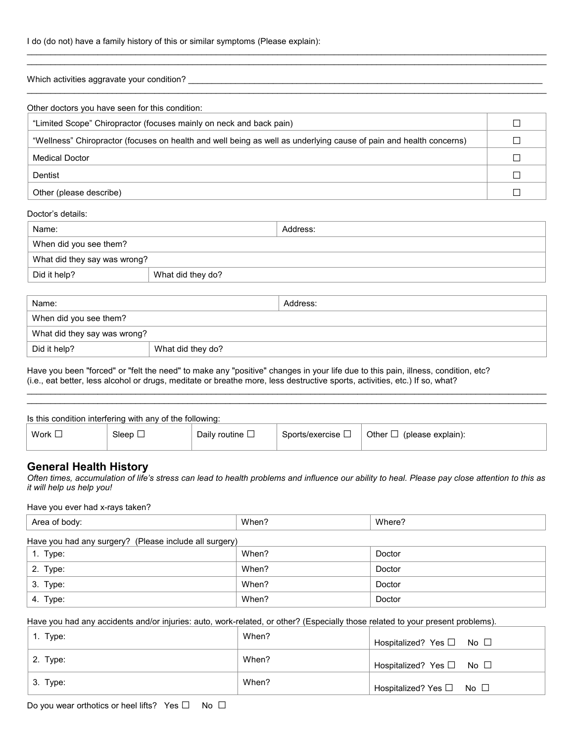I do (do not) have a family history of this or similar symptoms (Please explain):

 $\mathcal{L}_\mathcal{L} = \{ \mathcal{L}_\mathcal{L} = \{ \mathcal{L}_\mathcal{L} = \{ \mathcal{L}_\mathcal{L} = \{ \mathcal{L}_\mathcal{L} = \{ \mathcal{L}_\mathcal{L} = \{ \mathcal{L}_\mathcal{L} = \{ \mathcal{L}_\mathcal{L} = \{ \mathcal{L}_\mathcal{L} = \{ \mathcal{L}_\mathcal{L} = \{ \mathcal{L}_\mathcal{L} = \{ \mathcal{L}_\mathcal{L} = \{ \mathcal{L}_\mathcal{L} = \{ \mathcal{L}_\mathcal{L} = \{ \mathcal{L}_\mathcal{$ Which activities aggravate your condition?  $\mathcal{L}_\mathcal{L} = \{ \mathcal{L}_\mathcal{L} = \{ \mathcal{L}_\mathcal{L} = \{ \mathcal{L}_\mathcal{L} = \{ \mathcal{L}_\mathcal{L} = \{ \mathcal{L}_\mathcal{L} = \{ \mathcal{L}_\mathcal{L} = \{ \mathcal{L}_\mathcal{L} = \{ \mathcal{L}_\mathcal{L} = \{ \mathcal{L}_\mathcal{L} = \{ \mathcal{L}_\mathcal{L} = \{ \mathcal{L}_\mathcal{L} = \{ \mathcal{L}_\mathcal{L} = \{ \mathcal{L}_\mathcal{L} = \{ \mathcal{L}_\mathcal{$ 

 $\mathcal{L}_\mathcal{L} = \{ \mathcal{L}_\mathcal{L} = \{ \mathcal{L}_\mathcal{L} = \{ \mathcal{L}_\mathcal{L} = \{ \mathcal{L}_\mathcal{L} = \{ \mathcal{L}_\mathcal{L} = \{ \mathcal{L}_\mathcal{L} = \{ \mathcal{L}_\mathcal{L} = \{ \mathcal{L}_\mathcal{L} = \{ \mathcal{L}_\mathcal{L} = \{ \mathcal{L}_\mathcal{L} = \{ \mathcal{L}_\mathcal{L} = \{ \mathcal{L}_\mathcal{L} = \{ \mathcal{L}_\mathcal{L} = \{ \mathcal{L}_\mathcal{$ 

| Other doctors you have seen for this condition:                                                                    |  |
|--------------------------------------------------------------------------------------------------------------------|--|
| "Limited Scope" Chiropractor (focuses mainly on neck and back pain)                                                |  |
| "Wellness" Chiropractor (focuses on health and well being as well as underlying cause of pain and health concerns) |  |
| <b>Medical Doctor</b>                                                                                              |  |
| Dentist                                                                                                            |  |
| Other (please describe)                                                                                            |  |

#### Doctor's details:

| Name:                        |                   | Address: |
|------------------------------|-------------------|----------|
| When did you see them?       |                   |          |
| What did they say was wrong? |                   |          |
| Did it help?                 | What did they do? |          |
|                              |                   |          |

| Name:                        |                   | Address: |
|------------------------------|-------------------|----------|
| When did you see them?       |                   |          |
| What did they say was wrong? |                   |          |
| Did it help?                 | What did they do? |          |

Have you been "forced" or "felt the need" to make any "positive" changes in your life due to this pain, illness, condition, etc? (i.e., eat better, less alcohol or drugs, meditate or breathe more, less destructive sports, activities, etc.) If so, what?

|             | Is this condition interfering with any of the following: |                         |                        |                                |
|-------------|----------------------------------------------------------|-------------------------|------------------------|--------------------------------|
| Work $\Box$ | Sleep $\Box$                                             | Daily routine $\square$ | Sports/exercise $\Box$ | Other $\Box$ (please explain): |

 $\mathcal{L}_\mathcal{L} = \{ \mathcal{L}_\mathcal{L} = \{ \mathcal{L}_\mathcal{L} = \{ \mathcal{L}_\mathcal{L} = \{ \mathcal{L}_\mathcal{L} = \{ \mathcal{L}_\mathcal{L} = \{ \mathcal{L}_\mathcal{L} = \{ \mathcal{L}_\mathcal{L} = \{ \mathcal{L}_\mathcal{L} = \{ \mathcal{L}_\mathcal{L} = \{ \mathcal{L}_\mathcal{L} = \{ \mathcal{L}_\mathcal{L} = \{ \mathcal{L}_\mathcal{L} = \{ \mathcal{L}_\mathcal{L} = \{ \mathcal{L}_\mathcal{$  $\mathcal{L}_\mathcal{L} = \{ \mathcal{L}_\mathcal{L} = \{ \mathcal{L}_\mathcal{L} = \{ \mathcal{L}_\mathcal{L} = \{ \mathcal{L}_\mathcal{L} = \{ \mathcal{L}_\mathcal{L} = \{ \mathcal{L}_\mathcal{L} = \{ \mathcal{L}_\mathcal{L} = \{ \mathcal{L}_\mathcal{L} = \{ \mathcal{L}_\mathcal{L} = \{ \mathcal{L}_\mathcal{L} = \{ \mathcal{L}_\mathcal{L} = \{ \mathcal{L}_\mathcal{L} = \{ \mathcal{L}_\mathcal{L} = \{ \mathcal{L}_\mathcal{$ 

## **General Health History**

*Often times, accumulation of life's stress can lead to health problems and influence our ability to heal. Please pay close attention to this as it will help us help you!* 

Have you ever had x-rays taken?

| Area of body:                                          | When? | Where? |
|--------------------------------------------------------|-------|--------|
| Have you had any surgery? (Please include all surgery) |       |        |
| 1. Type:                                               | When? | Doctor |
| 2. Type:                                               | When? | Doctor |
| 3. Type:                                               | When? | Doctor |
| 4. Type:                                               | When? | Doctor |

Have you had any accidents and/or injuries: auto, work-related, or other? (Especially those related to your present problems).

| $\vert$ 1. Type: | When? | Hospitalized? Yes □ No □                 |
|------------------|-------|------------------------------------------|
| $\vert$ 2. Type: | When? | Hospitalized? Yes □ No □                 |
| $\vert$ 3. Type: | When? | Hospitalized? Yes $\square$ No $\square$ |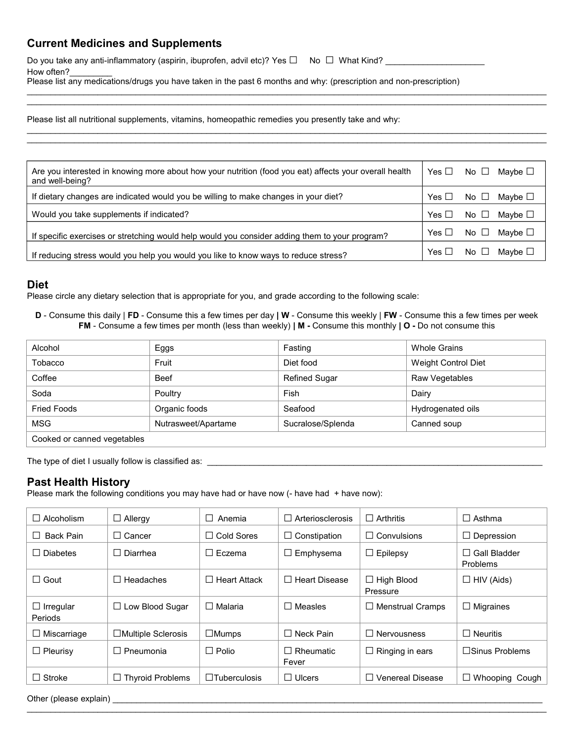# **Current Medicines and Supplements**

Do you take any anti-inflammatory (aspirin, ibuprofen, advil etc)? Yes □ No □ What Kind? \_\_\_\_\_\_\_\_\_\_ How often?

Please list any medications/drugs you have taken in the past 6 months and why: (prescription and non-prescription)

Please list all nutritional supplements, vitamins, homeopathic remedies you presently take and why:

| Are you interested in knowing more about how your nutrition (food you eat) affects your overall health<br>and well-being? | Yes $\square$ | No $\Box$ Maybe $\Box$          |
|---------------------------------------------------------------------------------------------------------------------------|---------------|---------------------------------|
| If dietary changes are indicated would you be willing to make changes in your diet?                                       | Yes $\Box$    | No $\Box$ Maybe $\Box$          |
| Would you take supplements if indicated?                                                                                  | Yes $\Box$    | No $\Box$ Maybe $\Box$          |
| If specific exercises or stretching would help would you consider adding them to your program?                            | Yes $\Box$    | No $\square$<br>Mavbe $\Box$    |
| If reducing stress would you help you would you like to know ways to reduce stress?                                       | Yes $\Box$    | No $\square$<br>Maybe $\square$ |

 $\_$  ,  $\_$  ,  $\_$  ,  $\_$  ,  $\_$  ,  $\_$  ,  $\_$  ,  $\_$  ,  $\_$  ,  $\_$  ,  $\_$  ,  $\_$  ,  $\_$  ,  $\_$  ,  $\_$  ,  $\_$  ,  $\_$  ,  $\_$  ,  $\_$  ,  $\_$  ,  $\_$  ,  $\_$  ,  $\_$  ,  $\_$  ,  $\_$  ,  $\_$  ,  $\_$  ,  $\_$  ,  $\_$  ,  $\_$  ,  $\_$  ,  $\_$  ,  $\_$  ,  $\_$  ,  $\_$  ,  $\_$  ,  $\_$  ,  $\mathcal{L}_\mathcal{L} = \{ \mathcal{L}_\mathcal{L} = \{ \mathcal{L}_\mathcal{L} = \{ \mathcal{L}_\mathcal{L} = \{ \mathcal{L}_\mathcal{L} = \{ \mathcal{L}_\mathcal{L} = \{ \mathcal{L}_\mathcal{L} = \{ \mathcal{L}_\mathcal{L} = \{ \mathcal{L}_\mathcal{L} = \{ \mathcal{L}_\mathcal{L} = \{ \mathcal{L}_\mathcal{L} = \{ \mathcal{L}_\mathcal{L} = \{ \mathcal{L}_\mathcal{L} = \{ \mathcal{L}_\mathcal{L} = \{ \mathcal{L}_\mathcal{$ 

 $\mathcal{L}_\mathcal{L} = \{ \mathcal{L}_\mathcal{L} = \{ \mathcal{L}_\mathcal{L} = \{ \mathcal{L}_\mathcal{L} = \{ \mathcal{L}_\mathcal{L} = \{ \mathcal{L}_\mathcal{L} = \{ \mathcal{L}_\mathcal{L} = \{ \mathcal{L}_\mathcal{L} = \{ \mathcal{L}_\mathcal{L} = \{ \mathcal{L}_\mathcal{L} = \{ \mathcal{L}_\mathcal{L} = \{ \mathcal{L}_\mathcal{L} = \{ \mathcal{L}_\mathcal{L} = \{ \mathcal{L}_\mathcal{L} = \{ \mathcal{L}_\mathcal{$  $\_$  ,  $\_$  ,  $\_$  ,  $\_$  ,  $\_$  ,  $\_$  ,  $\_$  ,  $\_$  ,  $\_$  ,  $\_$  ,  $\_$  ,  $\_$  ,  $\_$  ,  $\_$  ,  $\_$  ,  $\_$  ,  $\_$  ,  $\_$  ,  $\_$  ,  $\_$  ,  $\_$  ,  $\_$  ,  $\_$  ,  $\_$  ,  $\_$  ,  $\_$  ,  $\_$  ,  $\_$  ,  $\_$  ,  $\_$  ,  $\_$  ,  $\_$  ,  $\_$  ,  $\_$  ,  $\_$  ,  $\_$  ,  $\_$  ,

# **Diet**

Please circle any dietary selection that is appropriate for you, and grade according to the following scale:

**D** - Consume this daily | **FD** - Consume this a few times per day **| W** - Consume this weekly | **FW** - Consume this a few times per week **FM** - Consume a few times per month (less than weekly) **| M -** Consume this monthly **| O -** Do not consume this

| Alcohol                     | Eggs                | Fasting              | <b>Whole Grains</b>        |
|-----------------------------|---------------------|----------------------|----------------------------|
| Tobacco                     | Fruit               | Diet food            | <b>Weight Control Diet</b> |
| Coffee                      | <b>Beef</b>         | <b>Refined Sugar</b> | Raw Vegetables             |
| Soda                        | Poultry             | Fish                 | Dairy                      |
| <b>Fried Foods</b>          | Organic foods       | Seafood              | Hydrogenated oils          |
| MSG                         | Nutrasweet/Apartame | Sucralose/Splenda    | Canned soup                |
| Cooked or canned vegetables |                     |                      |                            |

The type of diet I usually follow is classified as: \_\_\_\_\_\_\_\_\_\_\_\_\_\_\_\_\_\_\_\_\_\_\_\_\_\_\_\_

# **Past Health History**

Please mark the following conditions you may have had or have now (- have had + have now):

| $\Box$ Alcoholism           | $\Box$ Allergy            | Anemia<br>$\perp$   | Arteriosclerosis<br>$\perp$   | $\Box$ Arthritis              | $\Box$ Asthma                       |
|-----------------------------|---------------------------|---------------------|-------------------------------|-------------------------------|-------------------------------------|
| Back Pain<br>$\perp$        | $\Box$ Cancer             | $\Box$ Cold Sores   | $\Box$ Constipation           | $\Box$ Convulsions            | $\Box$ Depression                   |
| $\Box$ Diabetes             | $\Box$ Diarrhea           | $\Box$ Eczema       | Emphysema<br>ப                | $\Box$ Epilepsy               | Gall Bladder<br>$\perp$<br>Problems |
| $\Box$ Gout                 | $\Box$ Headaches          | $\Box$ Heart Attack | $\Box$ Heart Disease          | $\Box$ High Blood<br>Pressure | $\Box$ HIV (Aids)                   |
| $\Box$ Irregular<br>Periods | ow Blood Sugar<br>பட      | $\Box$ Malaria      | Measles<br>$\mathsf{L}$       | <b>Menstrual Cramps</b><br>⊔  | $\Box$ Migraines                    |
| $\Box$ Miscarriage          | $\Box$ Multiple Sclerosis | $\Box$ Mumps        | $\Box$ Neck Pain              | $\Box$ Nervousness            | $\Box$ Neuritis                     |
| $\Box$ Pleurisy             | □ Pneumonia               | $\Box$ Polio        | Rheumatic<br>$\perp$<br>Fever | Ringing in ears<br>⊔          | $\square$ Sinus Problems            |
| $\Box$ Stroke               | $\Box$ Thyroid Problems   | $\Box$ Tuberculosis | $\Box$ Ulcers                 | $\Box$ Venereal Disease       | $\Box$ Whooping Cough               |

 $\mathcal{L}_\mathcal{L} = \{ \mathcal{L}_\mathcal{L} = \{ \mathcal{L}_\mathcal{L} = \{ \mathcal{L}_\mathcal{L} = \{ \mathcal{L}_\mathcal{L} = \{ \mathcal{L}_\mathcal{L} = \{ \mathcal{L}_\mathcal{L} = \{ \mathcal{L}_\mathcal{L} = \{ \mathcal{L}_\mathcal{L} = \{ \mathcal{L}_\mathcal{L} = \{ \mathcal{L}_\mathcal{L} = \{ \mathcal{L}_\mathcal{L} = \{ \mathcal{L}_\mathcal{L} = \{ \mathcal{L}_\mathcal{L} = \{ \mathcal{L}_\mathcal{$ 

Other (please explain) \_\_\_\_\_\_\_\_\_\_\_\_\_\_\_\_\_\_\_\_\_\_\_\_\_\_\_\_\_\_\_\_\_\_\_\_\_\_\_\_\_\_\_\_\_\_\_\_\_\_\_\_\_\_\_\_\_\_\_\_\_\_\_\_\_\_\_\_\_\_\_\_\_\_\_\_\_\_\_\_\_\_\_\_\_\_\_\_\_\_\_